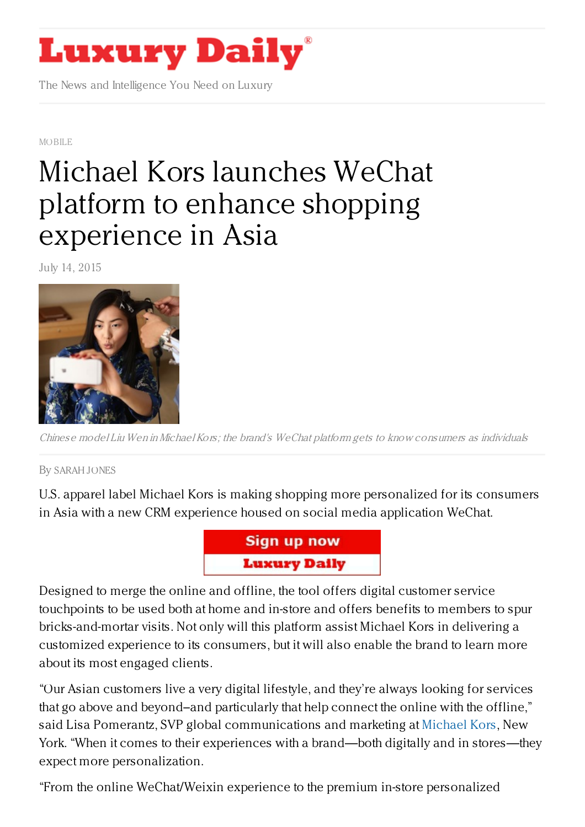## **Luxury Daily**

The News and Intelligence You Need on Luxury

[MOBILE](https://www.luxurydaily.com/category/news/mobile-news/)

## Michael Kors launches WeChat platform to enhance shopping [experience](https://www.luxurydaily.com/michael-kors-uses-wechat-platform-to-enhance-shopping-experience-in-asia/) in Asia

July 14, 2015



Chinese model Liu Wen inMichael Kors; the brand's WeChat platform gets to know consumers as individuals

By [SARAH](/author/sarah-jones) JONES

U.S. apparel label Michael Kors is making shopping more personalized for its consumers in Asia with a new CRM experience housed on social media application WeChat.



Designed to merge the online and offline, the tool offers digital customer service touchpoints to be used both at home and in-store and offers benefits to members to spur bricks-and-mortar visits. Not only will this platform assist Michael Kors in delivering a customized experience to its consumers, but it will also enable the brand to learn more about its most engaged clients.

"Our Asian customers live a very digital lifestyle, and they're always looking for services that go above and beyond–and particularly that help connect the online with the offline," said Lisa Pomerantz, SVP global communications and marketing at [Michael](http://www.michaelkors.com/) Kors, New York. "When it comes to their experiences with a brand—both digitally and in stores—they expect more personalization.

"From the online WeChat/Weixin experience to the premium in-store personalized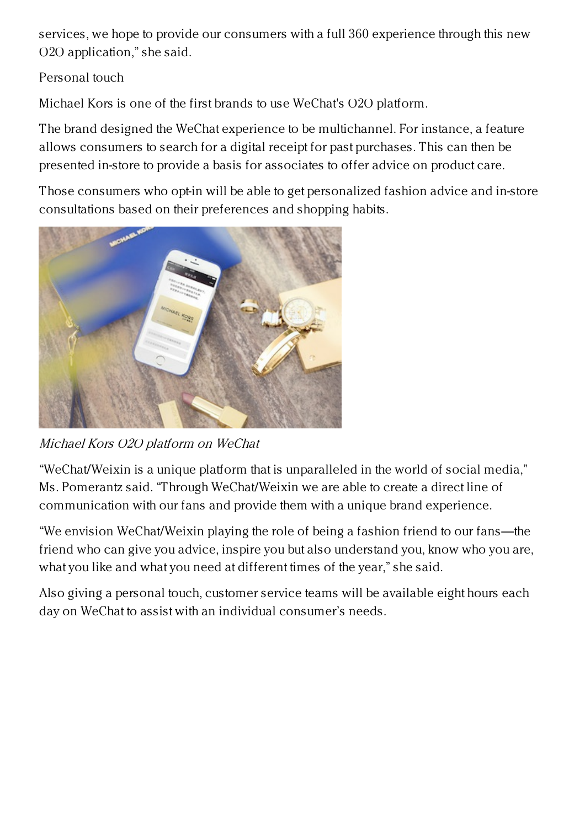services, we hope to provide our consumers with a full 360 experience through this new O2O application," she said.

## Personal touch

Michael Kors is one of the first brands to use WeChat's O2O platform.

The brand designed the WeChat experience to be multichannel. For instance, a feature allows consumers to search for a digital receipt for past purchases. This can then be presented in-store to provide a basis for associates to offer advice on product care.

Those consumers who opt-in will be able to get personalized fashion advice and in-store consultations based on their preferences and shopping habits.



Michael Kors O2O platform on WeChat

"WeChat/Weixin is a unique platform that is unparalleled in the world of social media," Ms. Pomerantz said. "Through WeChat/Weixin we are able to create a direct line of communication with our fans and provide them with a unique brand experience.

"We envision WeChat/Weixin playing the role of being a fashion friend to our fans—the friend who can give you advice, inspire you but also understand you, know who you are, what you like and what you need at different times of the year," she said.

Also giving a personal touch, customer service teams will be available eight hours each day on WeChat to assist with an individual consumer's needs.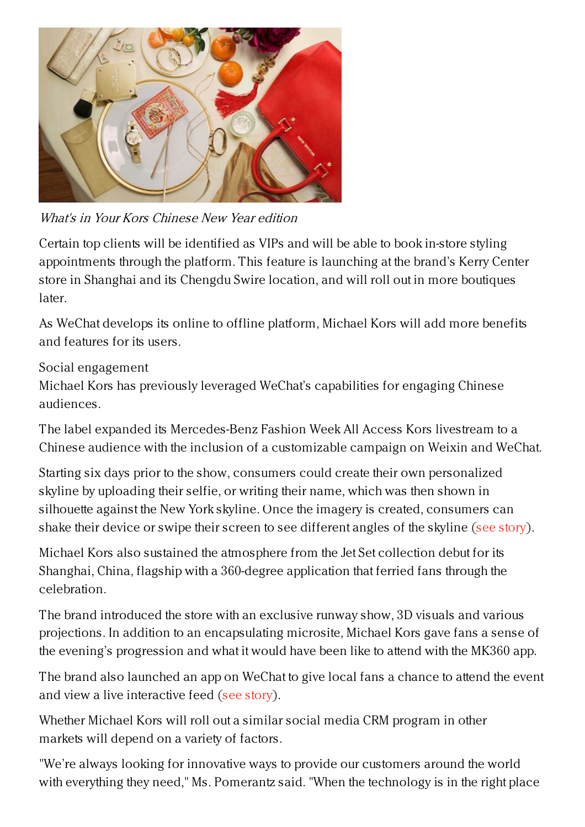

What's in Your Kors Chinese New Year edition

Certain top clients will be identified as VIPs and will be able to book in-store styling appointments through the platform. This feature is launching at the brand's Kerry Center store in Shanghai and its Chengdu Swire location, and will roll out in more boutiques later.

As WeChat develops its online to offline platform, Michael Kors will add more benefits and features for its users.

Social engagement

Michael Kors has previously leveraged WeChat's capabilities for engaging Chinese audiences.

The label expanded its Mercedes-Benz Fashion Week All Access Kors livestream to a Chinese audience with the inclusion of a customizable campaign on Weixin and WeChat.

Starting six days prior to the show, consumers could create their own personalized skyline by uploading their selfie, or writing their name, which was then shown in silhouette against the New York skyline. Once the imagery is created, consumers can shake their device or swipe their screen to see different angles of the skyline (see [story](https://www.luxurydaily.com/michael-kors-incorporates-chinese-social-media-into-fashion-show-livestream/)).

Michael Kors also sustained the atmosphere from the Jet Set collection debut for its Shanghai, China, flagship with a 360-degree application that ferried fans through the celebration.

The brand introduced the store with an exclusive runway show, 3D visuals and various projections. In addition to an encapsulating microsite, Michael Kors gave fans a sense of the evening's progression and what it would have been like to attend with the MK360 app.

The brand also launched an app on WeChat to give local fans a chance to attend the event and view a live interactive feed (see [story](https://www.luxurydaily.com/michael-kors-floats-through-shanghai-jet-set-event-with-360-degree-app/)).

Whether Michael Kors will roll out a similar social media CRM program in other markets will depend on a variety of factors.

"We're always looking for innovative ways to provide our customers around the world with everything they need," Ms. Pomerantz said. "When the technology is in the right place